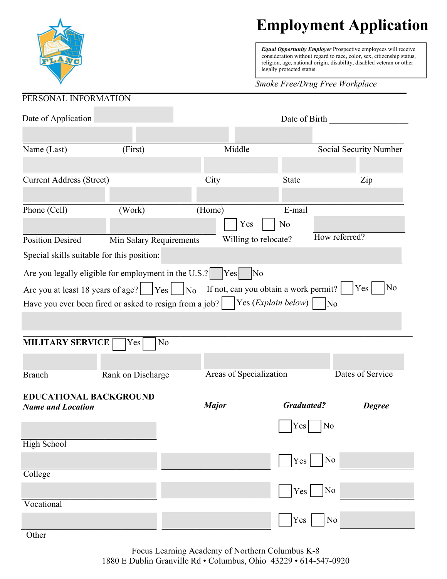

## **Employment Application**

*Equal Opportunity Employer* Prospective employees will receive consideration without regard to race, color, sex, citizenship status, religion, age, national origin, disability, disabled veteran or other legally protected status.

## *Smoke Free/Drug Free Workplace*

| PERSONAL INFORMATION                       |                                                                                              |                         |                                       |                        |
|--------------------------------------------|----------------------------------------------------------------------------------------------|-------------------------|---------------------------------------|------------------------|
| Date of Application                        |                                                                                              | Date of Birth           |                                       |                        |
| Name (Last)                                | (First)                                                                                      | Middle                  |                                       | Social Security Number |
|                                            |                                                                                              |                         |                                       |                        |
| <b>Current Address (Street)</b>            |                                                                                              | City                    | <b>State</b>                          | Zip                    |
|                                            |                                                                                              |                         |                                       |                        |
| Phone (Cell)                               | (Work)                                                                                       | (Home)<br>Yes           | E-mail<br>N <sub>o</sub>              |                        |
| <b>Position Desired</b>                    | Min Salary Requirements                                                                      |                         | Willing to relocate?                  | How referred?          |
| Special skills suitable for this position: |                                                                                              |                         |                                       |                        |
|                                            | Are you legally eligible for employment in the U.S.?                                         | Yes                     | No                                    |                        |
|                                            | Are you at least 18 years of age? $\sqrt{Y}$ Yes $\sqrt{N_0}$                                |                         | If not, can you obtain a work permit? | N <sub>0</sub><br> Yes |
|                                            | Have you ever been fired or asked to resign from a job? $\vert$ Yes ( <i>Explain below</i> ) |                         | $\overline{N_0}$                      |                        |
|                                            |                                                                                              |                         |                                       |                        |
|                                            |                                                                                              |                         |                                       |                        |
| <b>MILITARY SERVICE</b>                    | N <sub>o</sub><br>Yes                                                                        |                         |                                       |                        |
|                                            |                                                                                              |                         |                                       |                        |
| <b>Branch</b>                              | Rank on Discharge                                                                            | Areas of Specialization |                                       | Dates of Service       |
| <b>EDUCATIONAL BACKGROUND</b>              |                                                                                              |                         |                                       |                        |
| <b>Name and Location</b>                   |                                                                                              | <b>Major</b>            | <b>Graduated?</b>                     | <b>Degree</b>          |
|                                            |                                                                                              |                         | Yes  <br>No                           |                        |
| <b>High School</b>                         |                                                                                              |                         |                                       |                        |
|                                            |                                                                                              |                         |                                       |                        |
| College                                    |                                                                                              |                         | N <sub>o</sub><br>Yes                 |                        |
|                                            |                                                                                              |                         | N <sub>0</sub><br>Yes                 |                        |
| Vocational                                 |                                                                                              |                         |                                       |                        |
|                                            |                                                                                              |                         | Yes<br>N <sub>o</sub>                 |                        |
| Other                                      |                                                                                              |                         |                                       |                        |

Focus Learning Academy of Northern Columbus K-8 1880 E Dublin Granville Rd • Columbus, Ohio 43229 • 614-547-0920